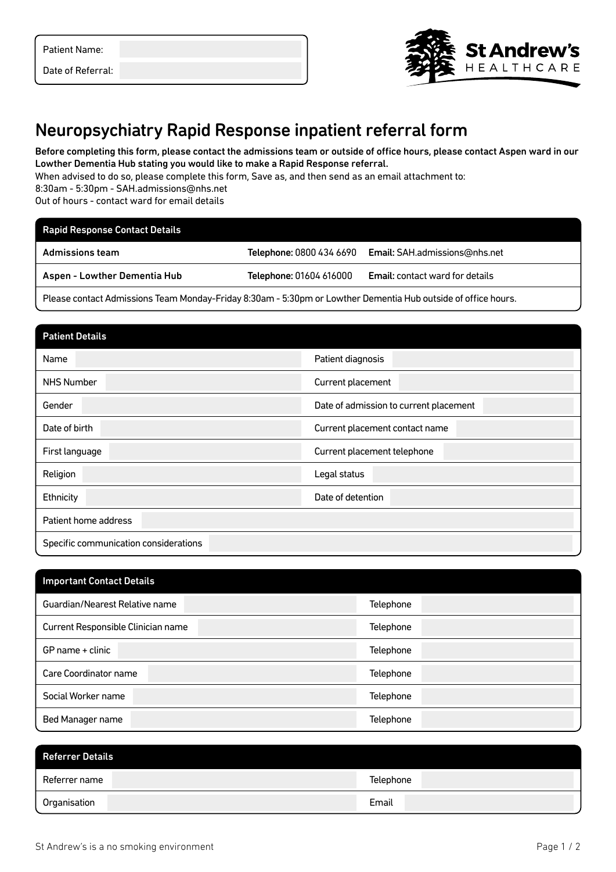| <b>Patient Name:</b> |  |
|----------------------|--|
|----------------------|--|

Date of Referral:



## Neuropsychiatry Rapid Response inpatient referral form

Before completing this form, please contact the admissions team or outside of office hours, please contact Aspen ward in our Lowther Dementia Hub stating you would like to make a Rapid Response referral.

When advised to do so, please complete this form, Save as, and then send as an email attachment to:

8:30am - 5:30pm - SAH.admissions@nhs.net

Out of hours - contact ward for email details

| <b>Rapid Response Contact Details</b>                                                                         |                         |                                                        |
|---------------------------------------------------------------------------------------------------------------|-------------------------|--------------------------------------------------------|
| <b>Admissions team</b>                                                                                        |                         | Telephone: 0800 434 6690 Email: SAH.admissions@nhs.net |
| <b>Aspen - Lowther Dementia Hub</b>                                                                           | Telephone: 01604 616000 | <b>Email:</b> contact ward for details                 |
| Please contact Admissions Team Monday-Friday 8:30am - 5:30pm or Lowther Dementia Hub outside of office hours. |                         |                                                        |

| <b>Patient Details</b>                |                                        |
|---------------------------------------|----------------------------------------|
| Name                                  | Patient diagnosis                      |
| <b>NHS Number</b>                     | Current placement                      |
| Gender                                | Date of admission to current placement |
| Date of birth                         | Current placement contact name         |
| First language                        | Current placement telephone            |
| Religion                              | Legal status                           |
| Ethnicity                             | Date of detention                      |
| Patient home address                  |                                        |
| Specific communication considerations |                                        |

| <b>Important Contact Details</b>   |           |
|------------------------------------|-----------|
| Guardian/Nearest Relative name     | Telephone |
| Current Responsible Clinician name | Telephone |
| GP name + clinic                   | Telephone |
| Care Coordinator name              | Telephone |
| Social Worker name                 | Telephone |
| Bed Manager name                   | Telephone |

| <b>Referrer Details</b> |           |
|-------------------------|-----------|
| Referrer name           | Telephone |
| Organisation            | Email     |